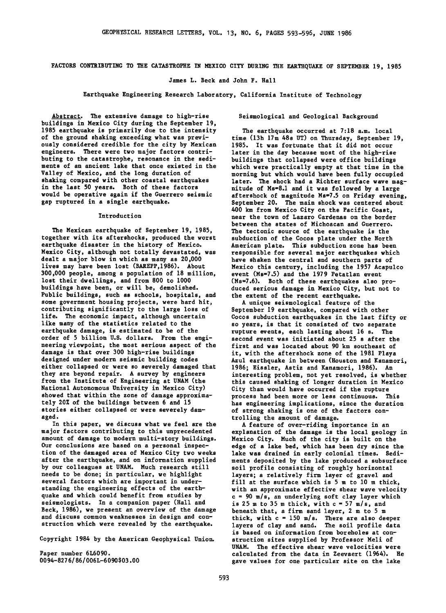**FACTORS CONTRIBUTING TO THE CATASTROPHE IN MEXICO CITY DURING THE EARTHQUAKE OF SEPTEMBER 19, 1985** 

**James L. Beck and John F. Hall** 

**Earthquake Engineering Research Laboratory, California Institute of Technology** 

**Seismological and Geological Background** 

**Abstract. The extensive damage to high-rise buildings in Mexico City during the September 19, 1985 earthquake is primarily due to the intensity of the ground shaking exceeding what was previously considered credible for the city by Mexican engineers. There were two major factors contributing to the catastrophe, resonance in the sediments of an ancient lake that once existed in the Valley of Mexico, and the long duration of shaking compared with other coastal earthquakes in the last 50 years. Both of these factors would be operative again if the Guerrero seismic gap ruptured in a single earthquake.** 

#### **Introduction**

**The Mexican earthquake of September 19, 1985, together with its aftershocks, produced the worst earthquake disaster in the history of Mexico. Mexico City, although not totally devastated, was dealt a major blow in which as many as 20,000 lives may have been lost (BAREPP,1986). About 300,000 people, among a population of 18 million, lost their dwellings, and from 800 to 1000 buildings have been, or will be, demolished. Public buildings, such as schools, hospitals, and some government housing projects, were hard hit, contributing significantly to the large loss of life. The economic impact, although uncertain like many of the statistics related to the earthquake damage, is estimated to be of the order of 5 billion U.S. dollars. From the engineering viewpoint, the most serious aspect of the damage is that over 300 high-rise buildings designed under modern seismic building codes either collapsed or were so severely damaged that they are beyond repair. A survey by engineers from the Institute of Engineering at UNAM (the National Autonomous University in Mexico City) showed that within the zone of damage approximately 20% of the buildings between 6 and 15 stories either collapsed or were severely damaged.** 

**In this paper, we discuss what we feel are the major factors contributing to this unprecedented amount of damage to modern multi-story buildings. Our conclusions are based on a personal inspection of the damaged area of Mexico City two weeks after the earthquake, and on information supplied by our colleagues at UNAM. Much research still needs to be done; in particular, we highlight several factors which are important in understanding the engineering effects of the earthquake and which could benefit from studies by seismologists. In a companion paper (Hall and Beck, 1986), we present an overview of the damage and discuss common weaknesses in design and construction which were revealed by the earthquake.** 

**Copyright 1984 by the American Geophysical Union.** 

**Paper number 6L6090. 0094-827 6/86/006L-6 090 \$03.00** 

**The earthquake occurred at 7:18 a.m. local time (13h 17m 48s UT) on Thursday, September 19, 1985. It was fortunate that it did not occur later in the day because most of the high-rise buildings that collapsed were office buildings which were practically empty at that time in the morning but which would have been fully occupied later. The shock had a Richter surface wave magnitude of Ms=8.1 and it was followed by a large aftershock of magnitude Ms=7.5 on Friday evening, September 20. The main shock was centered about 400 km from Mexico City on the Pacific Coast, near the town of Lazaro Cardenas on the border between the states of Michoacan and Guerrero. The tectonic source of the earthquake is the subduction of the Cocos plate under the North American plate. This subduction zone has been responsible for several major earthquakes which have shaken the central and southern parts of Mexico this century, including the 1957 Acapulco event (Ms=7.5) and the 1979 Petatlan event (Ms=7.6). Both of these earthquakes also produced serious damage in Mexico City, but not to the extent of the recent earthquake.** 

**A unique seismological feature of the September 19 earthquake, compared with other Cocos subduction earthquakes in the last fifty or so years, is that it consisted of two separate rupture events, each lasting about 16 s. The second event was initiated about 25 s after the first and was located about 90 km southeast of it, with the aftershock zone of the 1981 Playa Azul earthquake in between (Houston and Kanamori, 1986; Eissler, Astiz and Kanamori, 1986). An interesting problem, not yet resolved, is whether this caused shaking of longer duration in Mexico City than would have occurred if the rupture process had been more or less continuous. This has engineering implications, since the duration of strong shaking is one of the factors controlling the amount' of damage.** 

**A feature of over-riding importance in an explanation of the damage is the local geology in Mexico City. Much of the city is built on the edge of a lake bed, which has been dry since the lake was drained in early colonial times. Sediments deposited by the lake produced a subsurface soil profile consisting of roughly horizontal layers; a relatively firm layer of gravel and fill at the surface which is 5 m to 10 m thick, with an approximate effective shear wave velocity c = 90 m/s, an underlying soft clay layer which is 25 m to 35 m thick, with c = 57 m/s, and beneath that, a firm sand layer, 2 m to 5 m thick, with c = 150 m/s. There are also deeper layers of clay and sand. The soil profile data is based on information from boreholes at construction sites supplied by Professor Meli of UNAM. The effective shear wave velocities were calculated from the data in Zeevaert (1964). He gave values for one particular site on the lake**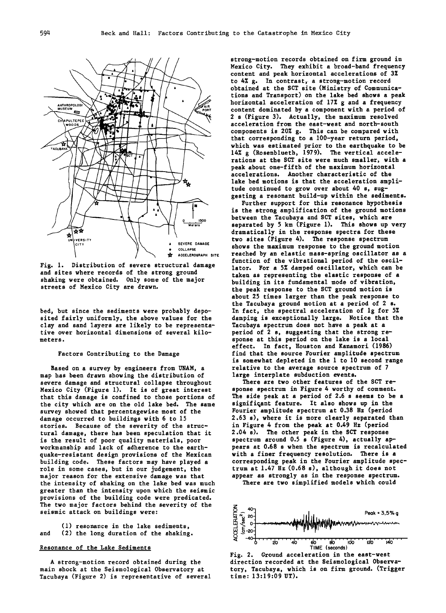

**Fig. 1. Distribution of severe structural damage and sites where records of the strong ground shaking were obtained. Only some of the major streets of Mexico City are drawn.** 

**bed, but since the sediments were probably deposited fairly uniformly, the above values for the clay and sand layers are likely to be representative over horizontal dimensions of several kilometers.** 

# **Factors Contributing to the Damage**

**Based on a survey by engineers from UNAM, a map has been drawn showing the distribution of severe damage and structural collapse throughout Mexico City (Figure 1). It is of great interest that this damage is confined to those portions of the city which are on the old lake bed. The same survey showed that percentagewise most of the damage occurred to buildings with 6 to 15 stories. Because of the severity of the structural damage, there has been speculation that it is the result of poor quality materials, poor workmanship and lack of adherence to the earthquake-resistant design provisions of the Mexican building code. These factors may have played a role in some cases, but in our judgement, the major reason for the extensive damage was that the intensity of shaking on the lake bed was much greater than the intensity upon which the seismic provisions of the building code were predicated. The two major factors behind the severity of the seismic attack on buildings were:** 

**(1) resonance in the lake sediments, and (2) the long duration of the shaking.** 

# **Resonance of the Lake Sediments**

**A strong-motion record obtained during the main shock at the Seismological Observatory at Tacubaya (Figure 2) is representative of several** 

**strong-motion records obtained on firm ground in Mexico City. They exhibit a broad-band frequency content and peak horizontal accelerations of 3% to 4% g. In contrast, a strong-motion record obtained at the SCT site (Ministry of Communications and Transport) on the lake bed shows a peak ß horizontal acceleration of 17% g and a frequency content dominated by a component with a period of 2 s (Figure 3). Actually, the maximum resolved acceleration from the east-west and north-south components is 20% g. This can be compared with that corresponding to a 100-year return period, which was estimated prior to the earthquake to be 14% g (Rosenblueth, 1979). The vertical accelerations at the SCT site were much smaller, with a peak about one-fifth of the maximum horizontal accelerations. Another characteristic of the • Fig. 6.** Iake bed motions is that the acceleration ampli-<br>
tude continued to grow over about 40 s, sug**gesting a resonant build-up within the sediments.** 

**Further support for this resonance hypothesis is the strong amplification of the ground motions between the Tacubaya and SCT sites, which are**  $\frac{1}{2}$ **Example 3 Separated by** 5 km (Figure 1). This shows up very **dramatically in the response spectra for these two sites (Figure 4). The response spectrum**  SEVERE DAMAGE Shows the maximum response to the ground motion  $\frac{1}{2}$ **• ACCELEROGRAPH SITE reached by an elastic mass-spring oscillator as a function of the vibrational period of the oscillator. For a 5% damped oscillator, which can be taken as representing the elastic response of a building in its fundamental mode of vibration, the peak response to the SCT ground motion is about 25 times larger than the peak response to the Tacubaya ground motion at a period of 2 s. In fact, the spectral acceleration of lg for 5% damping is exceptionally large. Notice that the Tacubaya spectrum does not have a peak at a period of 2 s, suggesting that the strong response at this period on the lake is a local effect. In fact, Houston and Kanamori (1986) find that the source Fourier amplitude spectrum is somewhat depleted in the 1 to 10 second range relative to the average source spectrum of 7 large interplate subduction events.** 

> **There are two other features of the SCT response spectrum in Figure 4 worthy of comment. The side peak at a period of 2.6 s seems to be a significant feature. It also shows up in the Fourier amplitude spectrum at 0.38 Hz (period 2.63 s), where it is more clearly separated than in Figure 4 from the peak at 0.49 Hz (period 2.04 s). The other peak in the SCT response spectrum around 0.5 s (Figure 4), actually appears at 0.68 s when the spectrum is recalculated with a finer frequency resolution. There is a corresponding peak in the Fourier amplitude spectrum at 1.47 Hz (0.68 s), although it does not appear as strongly as in the response spectrum. There are two simplified models which could**



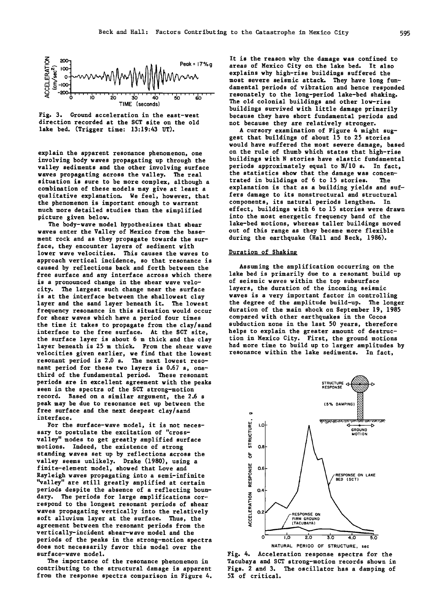



**explain the apparent resonance phenomenon, one involving body waves propagating up through the valley sediments and the other involving surface waves propagating across the valley. The real situation is sure to be more complex, although a combination of these models may give at least a qualitative explanation. We feel, however, that the phenomenon is important enough to warrant much more detailed studies than the simplified picture given below.** 

**The body-wave model hypothesizes that shear waves enter the Valley of Mexico from the basement rock and as they propagate towards the surface, they encounter layers of sediment with lower wave velocities. This causes the waves to approach vertical incidence, so that resonance is caused by reflections back and forth between the free surface and any interface across which there is a pronounced change in the shear wave velocity. The largest such change near the surface is at the interface between the shallowest clay layer and the sand layer beneath it. The lowest frequency resonance in this situation would occur for shear waves which have a period four times the time it takes to propagate from the clay/sand interface to the free surface. At the SCT site, the surface layer is about 6 m thick and the clay layer beneath is 25 m thick. From the shear wave velocities given earlier, we find that the lowest resonant period is 2.0 s. The next lowest resonant period for these two layers is 0.67 s, onethird of the fundamental period. These resonant periods are in excellent agreement with the peaks seen in the spectra of the SCT strong-motion record. Based on a similar argument, the 2.6 s peak may be due to resonance set up between the free surface and the next deepest clay/sand interface.** 

**For the surface-wave model, it is not necessary to postulate the excitation of "crossvalley" modes to get greatly amplified surface motions. Indeed, the existence of strong standing waves set up by reflections across the valley seems unlikely. Drake (1980), using a finite-element model, showed that Love and Rayleigh waves propagating into a semi-infinite "valley" are still greatly amplified at certain periods despite the absence of a reflecting boundary. The periods for large amplifications correspond to the longest resonant periods of shear waves propagating vertically into the relatively soft alluvium layer at the surface. Thus, the agreement between the resonant periods from the vertically-incident shear-wave model and the periods of the peaks in the strong-motion spectra does not necessarily favor this model over the surface-wave model.** 

**The importance of the resonance phenomenon in contributing to the structural damage is apparent from the response spectra comparison in Figure 4.**  **It is the reason why the damage was confined to areas of Mexico City on the lake bed. It also explains why high-rise buildings suffered the most severe seismic attack. They have long fundamental periods of vibration and hence responded resonately to the long-period lake-bed shaking. The old colonial buildings and other low-rise buildings survived with little damage primarily because they have short fundamental periods and not because they are relatively stronger.** 

**A cursory examination of Figure 4 might suggest that buildings of about 15 to 25 stories would have suffered the most severe damage, based on the rule of thumb which states that high-rise buildings with N stories have elastic fundamental periods approximately equal to N/10 s. In fact, the statistics show that the damage was concen**trated in buildings of 6 to 15 stories. **explanation is that as a building yields and suffers damage to its nonstructural and structural components, its natural periods lengthen. In effect, buildings with 6 to 15 stories were drawn into the most energetic frequency band of the lake-bed motions, whereas taller buildings moved out of this range as they became more flexible during the earthquake (Hall and Beck, 1986).** 

# **Duration of Shaking**

**Assuming the amplification occurring on the lake bed is primarily due to a resonant build up of seismic waves within the top subsurface layers, the duration of the incoming seismic waves is a very important factor in controlling the degree of the amplitude build-up. The longer duration of the main shock on September 19, 1985 compared with other earthquakes in the Cocos subduction zone in the last 50 years, therefore helps to explain the greater amount of destruction in Mexico City. First, the ground motions had more time to build up to larger amplitudes by resonance within the lake sediments. In fact,**